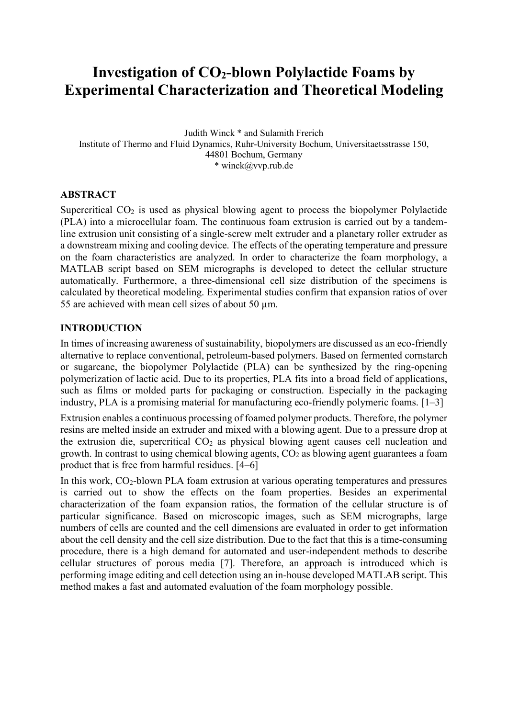# **Investigation of CO2-blown Polylactide Foams by Experimental Characterization and Theoretical Modeling**

Judith Winck \* and Sulamith Frerich Institute of Thermo and Fluid Dynamics, Ruhr-University Bochum, Universitaetsstrasse 150, 44801 Bochum, Germany \* winck@vvp.rub.de

# **ABSTRACT**

Supercritical  $CO<sub>2</sub>$  is used as physical blowing agent to process the biopolymer Polylactide (PLA) into a microcellular foam. The continuous foam extrusion is carried out by a tandemline extrusion unit consisting of a single-screw melt extruder and a planetary roller extruder as a downstream mixing and cooling device. The effects of the operating temperature and pressure on the foam characteristics are analyzed. In order to characterize the foam morphology, a MATLAB script based on SEM micrographs is developed to detect the cellular structure automatically. Furthermore, a three-dimensional cell size distribution of the specimens is calculated by theoretical modeling. Experimental studies confirm that expansion ratios of over 55 are achieved with mean cell sizes of about 50  $\mu$ m.

### **INTRODUCTION**

In times of increasing awareness of sustainability, biopolymers are discussed as an eco-friendly alternative to replace conventional, petroleum-based polymers. Based on fermented cornstarch or sugarcane, the biopolymer Polylactide (PLA) can be synthesized by the ring-opening polymerization of lactic acid. Due to its properties, PLA fits into a broad field of applications, such as films or molded parts for packaging or construction. Especially in the packaging industry, PLA is a promising material for manufacturing eco-friendly polymeric foams. [1–3]

Extrusion enables a continuous processing of foamed polymer products. Therefore, the polymer resins are melted inside an extruder and mixed with a blowing agent. Due to a pressure drop at the extrusion die, supercritical  $CO<sub>2</sub>$  as physical blowing agent causes cell nucleation and growth. In contrast to using chemical blowing agents,  $CO<sub>2</sub>$  as blowing agent guarantees a foam product that is free from harmful residues. [4–6]

In this work,  $CO<sub>2</sub>$ -blown PLA foam extrusion at various operating temperatures and pressures is carried out to show the effects on the foam properties. Besides an experimental characterization of the foam expansion ratios, the formation of the cellular structure is of particular significance. Based on microscopic images, such as SEM micrographs, large numbers of cells are counted and the cell dimensions are evaluated in order to get information about the cell density and the cell size distribution. Due to the fact that this is a time-consuming procedure, there is a high demand for automated and user-independent methods to describe cellular structures of porous media [7]. Therefore, an approach is introduced which is performing image editing and cell detection using an in-house developed MATLAB script. This method makes a fast and automated evaluation of the foam morphology possible.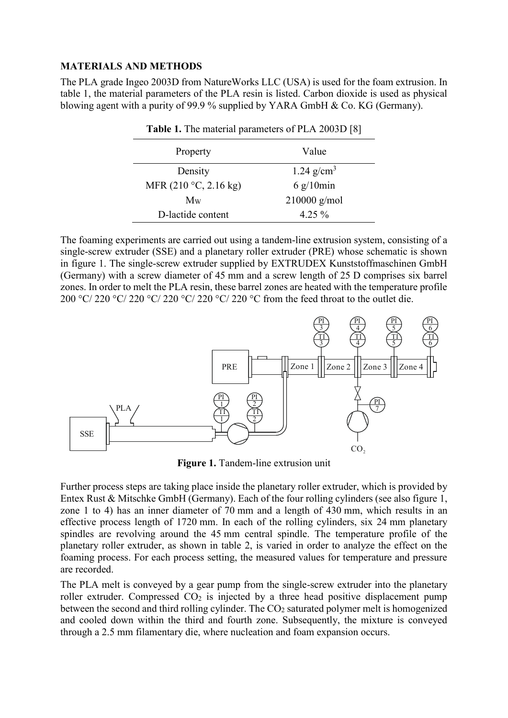#### **MATERIALS AND METHODS**

The PLA grade Ingeo 2003D from NatureWorks LLC (USA) is used for the foam extrusion. In table 1, the material parameters of the PLA resin is listed. Carbon dioxide is used as physical blowing agent with a purity of 99.9 % supplied by YARA GmbH & Co. KG (Germany).

**Table 1.** The material parameters of PLA 2003D [8]

| Property                | Value                |
|-------------------------|----------------------|
| Density                 | 1.24 $g/cm3$         |
| MFR $(210 °C, 2.16 kg)$ | $6 \frac{g}{10}$ min |
| $M_{W}$                 | $210000$ g/mol       |
| D-lactide content       | $4.25\%$             |

The foaming experiments are carried out using a tandem-line extrusion system, consisting of a single-screw extruder (SSE) and a planetary roller extruder (PRE) whose schematic is shown in figure 1. The single-screw extruder supplied by EXTRUDEX Kunststoffmaschinen GmbH (Germany) with a screw diameter of 45 mm and a screw length of 25 D comprises six barrel zones. In order to melt the PLA resin, these barrel zones are heated with the temperature profile 200 °C/ 220 °C/ 220 °C/ 220 °C/ 220 °C/ 220 °C from the feed throat to the outlet die.



**Figure 1.** Tandem-line extrusion unit

Further process steps are taking place inside the planetary roller extruder, which is provided by Entex Rust & Mitschke GmbH (Germany). Each of the four rolling cylinders (see also figure 1, zone 1 to 4) has an inner diameter of 70 mm and a length of 430 mm, which results in an effective process length of 1720 mm. In each of the rolling cylinders, six 24 mm planetary spindles are revolving around the 45 mm central spindle. The temperature profile of the planetary roller extruder, as shown in table 2, is varied in order to analyze the effect on the foaming process. For each process setting, the measured values for temperature and pressure are recorded.

The PLA melt is conveyed by a gear pump from the single-screw extruder into the planetary roller extruder. Compressed  $CO<sub>2</sub>$  is injected by a three head positive displacement pump between the second and third rolling cylinder. The CO<sub>2</sub> saturated polymer melt is homogenized and cooled down within the third and fourth zone. Subsequently, the mixture is conveyed through a 2.5 mm filamentary die, where nucleation and foam expansion occurs.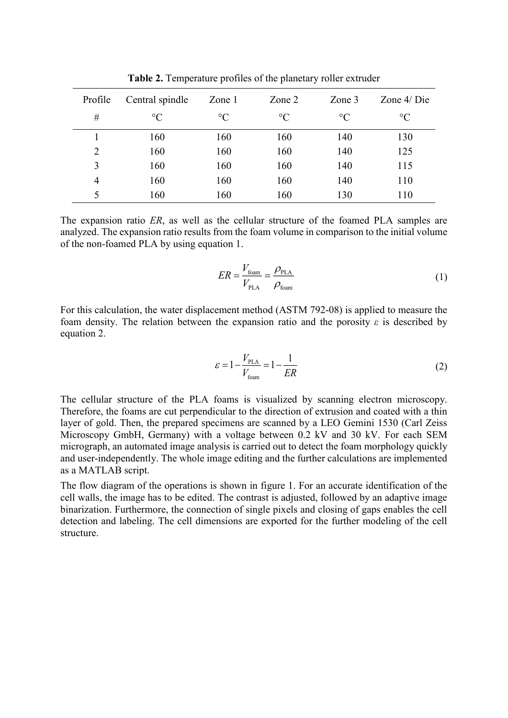| Profile        | Central spindle | Zone 1          | Zone $2$        | Zone $3$        | Zone $4/Die$    |
|----------------|-----------------|-----------------|-----------------|-----------------|-----------------|
| #              | $\rm ^{\circ}C$ | $\rm ^{\circ}C$ | $\rm ^{\circ}C$ | $\rm ^{\circ}C$ | $\rm ^{\circ}C$ |
|                | 160             | 160             | 160             | 140             | 130             |
| $\overline{2}$ | 160             | 160             | 160             | 140             | 125             |
| 3              | 160             | 160             | 160             | 140             | 115             |
| 4              | 160             | 160             | 160             | 140             | 110             |
|                | 160             | 160             | 160             | 130             | 110             |

**Table 2.** Temperature profiles of the planetary roller extruder

The expansion ratio *ER*, as well as the cellular structure of the foamed PLA samples are analyzed. The expansion ratio results from the foam volume in comparison to the initial volume of the non-foamed PLA by using equation 1.

$$
ER = \frac{V_{\text{foam}}}{V_{\text{PLA}}} = \frac{\rho_{\text{PLA}}}{\rho_{\text{foam}}} \tag{1}
$$

For this calculation, the water displacement method (ASTM 792-08) is applied to measure the foam density. The relation between the expansion ratio and the porosity *ε* is described by equation 2.

$$
\varepsilon = 1 - \frac{V_{\text{PLA}}}{V_{\text{foam}}} = 1 - \frac{1}{ER}
$$
 (2)

The cellular structure of the PLA foams is visualized by scanning electron microscopy. Therefore, the foams are cut perpendicular to the direction of extrusion and coated with a thin layer of gold. Then, the prepared specimens are scanned by a LEO Gemini 1530 (Carl Zeiss Microscopy GmbH, Germany) with a voltage between 0.2 kV and 30 kV. For each SEM micrograph, an automated image analysis is carried out to detect the foam morphology quickly and user-independently. The whole image editing and the further calculations are implemented as a MATLAB script.

The flow diagram of the operations is shown in figure 1. For an accurate identification of the cell walls, the image has to be edited. The contrast is adjusted, followed by an adaptive image binarization. Furthermore, the connection of single pixels and closing of gaps enables the cell detection and labeling. The cell dimensions are exported for the further modeling of the cell structure.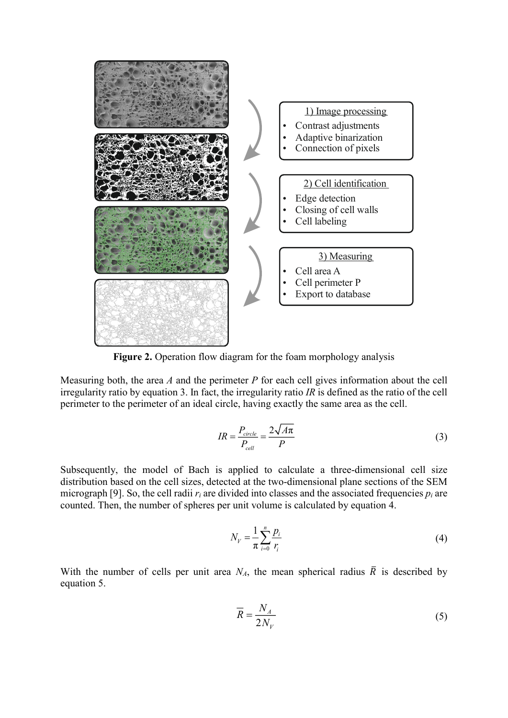

**Figure 2.** Operation flow diagram for the foam morphology analysis

Measuring both, the area *A* and the perimeter *P* for each cell gives information about the cell irregularity ratio by equation 3. In fact, the irregularity ratio *IR* is defined as the ratio of the cell perimeter to the perimeter of an ideal circle, having exactly the same area as the cell.

$$
IR = \frac{P_{circle}}{P_{cell}} = \frac{2\sqrt{A\pi}}{P}
$$
\n(3)

Subsequently, the model of Bach is applied to calculate a three-dimensional cell size distribution based on the cell sizes, detected at the two-dimensional plane sections of the SEM micrograph [9]. So, the cell radii  $r_i$  are divided into classes and the associated frequencies  $p_i$  are counted. Then, the number of spheres per unit volume is calculated by equation 4.

$$
N_V = \frac{1}{\pi} \sum_{i=0}^{n} \frac{p_i}{r_i} \tag{4}
$$

With the number of cells per unit area  $N_A$ , the mean spherical radius  $\overline{R}$  is described by equation 5.

$$
\overline{R} = \frac{N_A}{2N_V} \tag{5}
$$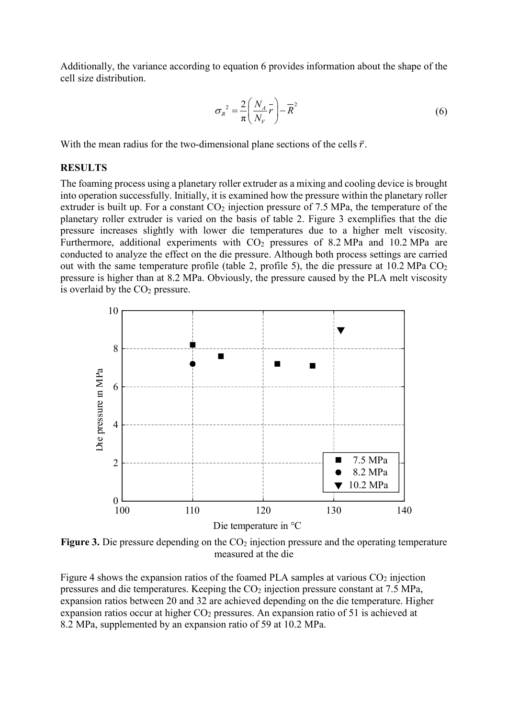Additionally, the variance according to equation 6 provides information about the shape of the cell size distribution.

$$
\sigma_R^2 = \frac{2}{\pi} \left( \frac{N_A}{N_V} \overline{r} \right) - \overline{R}^2 \tag{6}
$$

With the mean radius for the two-dimensional plane sections of the cells  $\bar{r}$ .

#### **RESULTS**

The foaming process using a planetary roller extruder as a mixing and cooling device is brought into operation successfully. Initially, it is examined how the pressure within the planetary roller extruder is built up. For a constant  $CO<sub>2</sub>$  injection pressure of 7.5 MPa, the temperature of the planetary roller extruder is varied on the basis of table 2. Figure 3 exemplifies that the die pressure increases slightly with lower die temperatures due to a higher melt viscosity. Furthermore, additional experiments with CO<sub>2</sub> pressures of 8.2 MPa and 10.2 MPa are conducted to analyze the effect on the die pressure. Although both process settings are carried out with the same temperature profile (table 2, profile 5), the die pressure at  $10.2 \text{ MPa CO}_2$ pressure is higher than at 8.2 MPa. Obviously, the pressure caused by the PLA melt viscosity is overlaid by the  $CO<sub>2</sub>$  pressure.



**Figure 3.** Die pressure depending on the CO<sub>2</sub> injection pressure and the operating temperature measured at the die

Figure 4 shows the expansion ratios of the foamed PLA samples at various  $CO<sub>2</sub>$  injection pressures and die temperatures. Keeping the  $CO<sub>2</sub>$  injection pressure constant at 7.5 MPa, expansion ratios between 20 and 32 are achieved depending on the die temperature. Higher expansion ratios occur at higher  $CO<sub>2</sub>$  pressures. An expansion ratio of 51 is achieved at 8.2 MPa, supplemented by an expansion ratio of 59 at 10.2 MPa.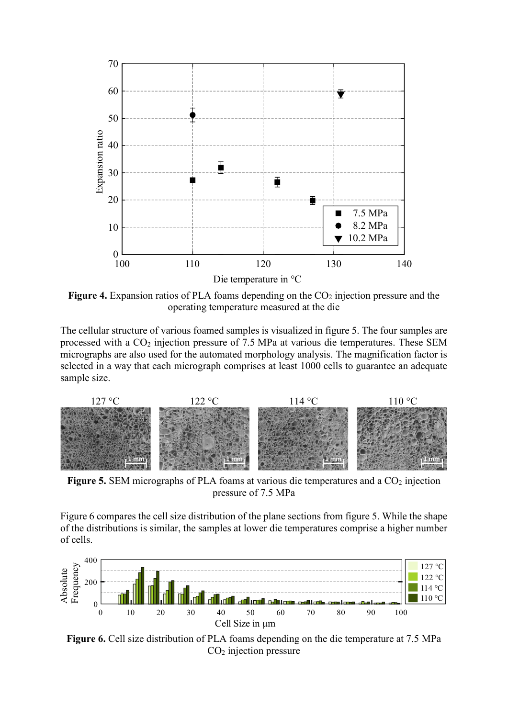

**Figure 4.** Expansion ratios of PLA foams depending on the CO<sub>2</sub> injection pressure and the operating temperature measured at the die

The cellular structure of various foamed samples is visualized in figure 5. The four samples are processed with a CO<sup>2</sup> injection pressure of 7.5 MPa at various die temperatures. These SEM micrographs are also used for the automated morphology analysis. The magnification factor is selected in a way that each micrograph comprises at least 1000 cells to guarantee an adequate sample size.



**Figure 5.** SEM micrographs of PLA foams at various die temperatures and a CO<sub>2</sub> injection pressure of 7.5 MPa

Figure 6 compares the cell size distribution of the plane sections from figure 5. While the shape of the distributions is similar, the samples at lower die temperatures comprise a higher number of cells.



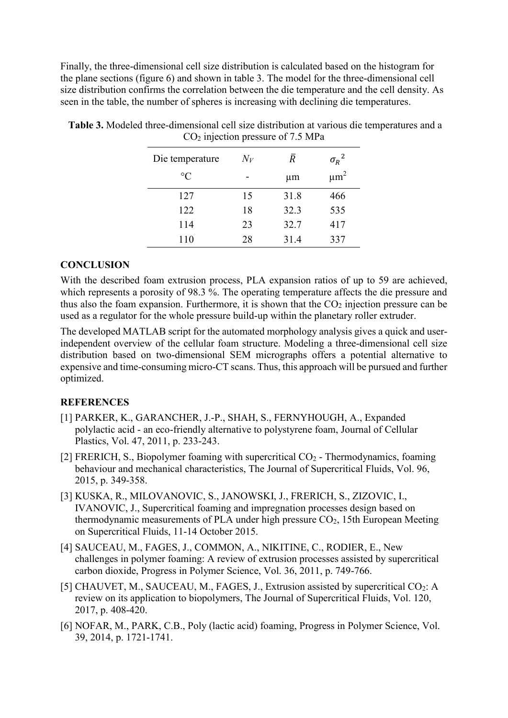Finally, the three-dimensional cell size distribution is calculated based on the histogram for the plane sections (figure 6) and shown in table 3. The model for the three-dimensional cell size distribution confirms the correlation between the die temperature and the cell density. As seen in the table, the number of spheres is increasing with declining die temperatures.

| $\cdot$         | . .   |         |                      |
|-----------------|-------|---------|----------------------|
| Die temperature | $N_V$ | Ŕ       | $\sigma_R^2$         |
| $\rm ^{\circ}C$ |       | $\mu$ m | $\mu$ m <sup>2</sup> |
| 127             | 15    | 31.8    | 466                  |
| 122             | 18    | 32.3    | 535                  |
| 114             | 23    | 32.7    | 417                  |
| 110             | 28    | 31.4    | 337                  |

**Table 3.** Modeled three-dimensional cell size distribution at various die temperatures and a  $CO<sub>2</sub>$  injection pressure of 7.5 MPa

# **CONCLUSION**

With the described foam extrusion process, PLA expansion ratios of up to 59 are achieved, which represents a porosity of 98.3 %. The operating temperature affects the die pressure and thus also the foam expansion. Furthermore, it is shown that the  $CO<sub>2</sub>$  injection pressure can be used as a regulator for the whole pressure build-up within the planetary roller extruder.

The developed MATLAB script for the automated morphology analysis gives a quick and userindependent overview of the cellular foam structure. Modeling a three-dimensional cell size distribution based on two-dimensional SEM micrographs offers a potential alternative to expensive and time-consuming micro-CT scans. Thus, this approach will be pursued and further optimized.

# **REFERENCES**

- [1] PARKER, K., GARANCHER, J.-P., SHAH, S., FERNYHOUGH, A., Expanded polylactic acid - an eco-friendly alternative to polystyrene foam, Journal of Cellular Plastics, Vol. 47, 2011, p. 233-243.
- [2] FRERICH, S., Biopolymer foaming with supercritical  $CO<sub>2</sub>$  Thermodynamics, foaming behaviour and mechanical characteristics, The Journal of Supercritical Fluids, Vol. 96, 2015, p. 349-358.
- [3] KUSKA, R., MILOVANOVIC, S., JANOWSKI, J., FRERICH, S., ZIZOVIC, I., IVANOVIC, J., Supercritical foaming and impregnation processes design based on thermodynamic measurements of PLA under high pressure  $CO<sub>2</sub>$ , 15th European Meeting on Supercritical Fluids, 11-14 October 2015.
- [4] SAUCEAU, M., FAGES, J., COMMON, A., NIKITINE, C., RODIER, E., New challenges in polymer foaming: A review of extrusion processes assisted by supercritical carbon dioxide, Progress in Polymer Science, Vol. 36, 2011, p. 749-766.
- [5] CHAUVET, M., SAUCEAU, M., FAGES, J., Extrusion assisted by supercritical CO<sub>2</sub>: A review on its application to biopolymers, The Journal of Supercritical Fluids, Vol. 120, 2017, p. 408-420.
- [6] NOFAR, M., PARK, C.B., Poly (lactic acid) foaming, Progress in Polymer Science, Vol. 39, 2014, p. 1721-1741.